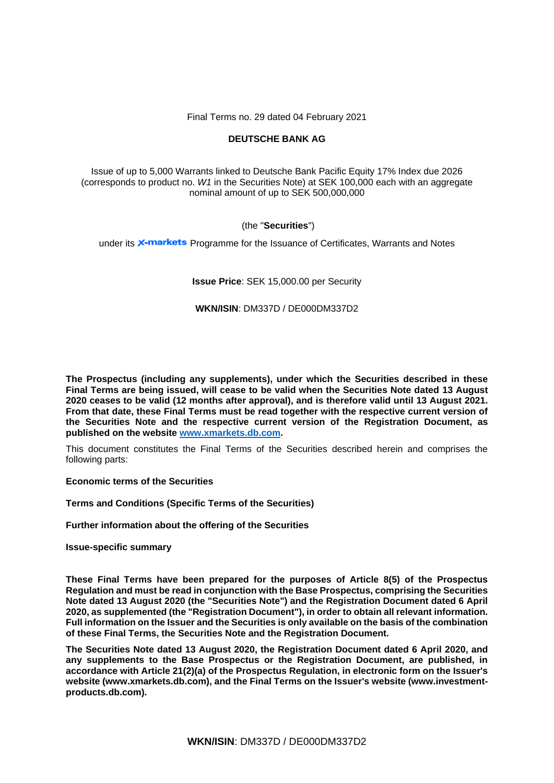Final Terms no. 29 dated 04 February 2021

# **DEUTSCHE BANK AG**

Issue of up to 5,000 Warrants linked to Deutsche Bank Pacific Equity 17% Index due 2026 (corresponds to product no. *W1* in the Securities Note) at SEK 100,000 each with an aggregate nominal amount of up to SEK 500,000,000

# (the "**Securities**")

under its **X-markets** Programme for the Issuance of Certificates, Warrants and Notes

# **Issue Price**: SEK 15,000.00 per Security

# **WKN/ISIN**: DM337D / DE000DM337D2

**The Prospectus (including any supplements), under which the Securities described in these Final Terms are being issued, will cease to be valid when the Securities Note dated 13 August 2020 ceases to be valid (12 months after approval), and is therefore valid until 13 August 2021. From that date, these Final Terms must be read together with the respective current version of the Securities Note and the respective current version of the Registration Document, as published on the website [www.xmarkets.db.com.](http://www.xmarkets.db.com/)**

This document constitutes the Final Terms of the Securities described herein and comprises the following parts:

**Economic terms of the Securities**

**Terms and Conditions (Specific Terms of the Securities)**

**Further information about the offering of the Securities**

**Issue-specific summary**

**These Final Terms have been prepared for the purposes of Article 8(5) of the Prospectus Regulation and must be read in conjunction with the Base Prospectus, comprising the Securities Note dated 13 August 2020 (the "Securities Note") and the Registration Document dated 6 April 2020, as supplemented (the "Registration Document"), in order to obtain all relevant information. Full information on the Issuer and the Securities is only available on the basis of the combination of these Final Terms, the Securities Note and the Registration Document.** 

**The Securities Note dated 13 August 2020, the Registration Document dated 6 April 2020, and any supplements to the Base Prospectus or the Registration Document, are published, in accordance with Article 21(2)(a) of the Prospectus Regulation, in electronic form on the Issuer's website (www.xmarkets.db.com), and the Final Terms on the Issuer's website (www.investmentproducts.db.com).**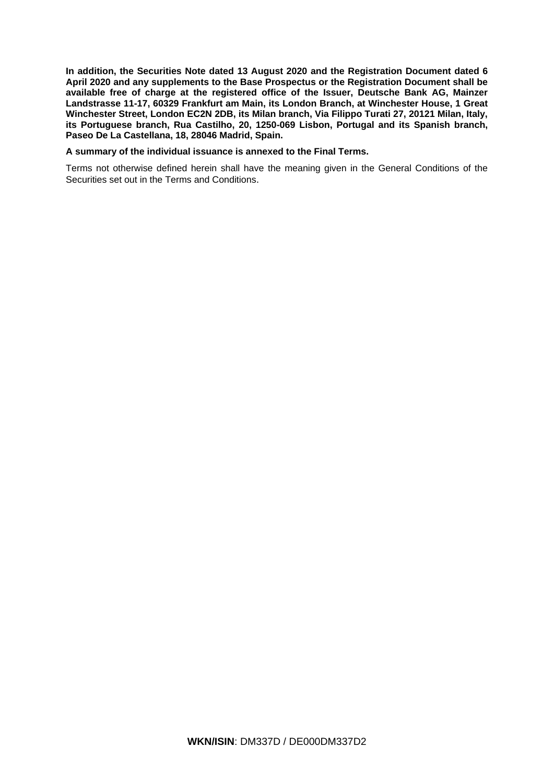**In addition, the Securities Note dated 13 August 2020 and the Registration Document dated 6 April 2020 and any supplements to the Base Prospectus or the Registration Document shall be available free of charge at the registered office of the Issuer, Deutsche Bank AG, Mainzer Landstrasse 11-17, 60329 Frankfurt am Main, its London Branch, at Winchester House, 1 Great Winchester Street, London EC2N 2DB, its Milan branch, Via Filippo Turati 27, 20121 Milan, Italy, its Portuguese branch, Rua Castilho, 20, 1250-069 Lisbon, Portugal and its Spanish branch, Paseo De La Castellana, 18, 28046 Madrid, Spain.** 

## **A summary of the individual issuance is annexed to the Final Terms.**

Terms not otherwise defined herein shall have the meaning given in the General Conditions of the Securities set out in the Terms and Conditions.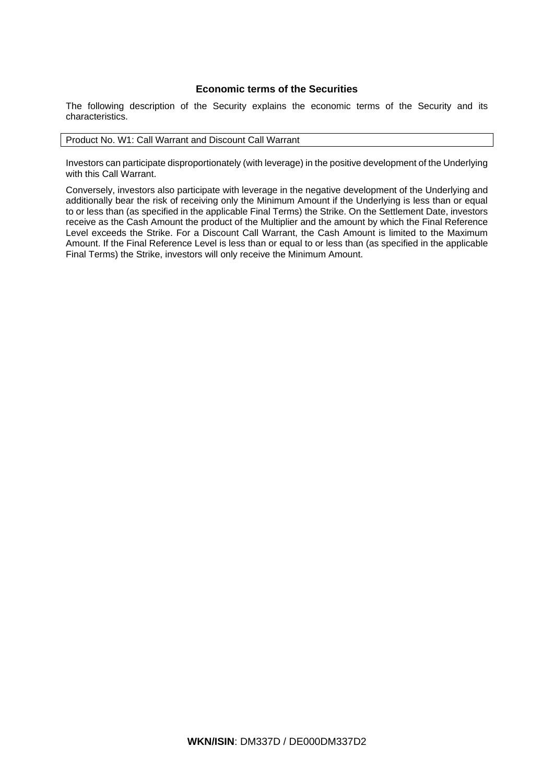# **Economic terms of the Securities**

The following description of the Security explains the economic terms of the Security and its characteristics.

## Product No. W1: Call Warrant and Discount Call Warrant

Investors can participate disproportionately (with leverage) in the positive development of the Underlying with this Call Warrant.

Conversely, investors also participate with leverage in the negative development of the Underlying and additionally bear the risk of receiving only the Minimum Amount if the Underlying is less than or equal to or less than (as specified in the applicable Final Terms) the Strike. On the Settlement Date, investors receive as the Cash Amount the product of the Multiplier and the amount by which the Final Reference Level exceeds the Strike. For a Discount Call Warrant, the Cash Amount is limited to the Maximum Amount. If the Final Reference Level is less than or equal to or less than (as specified in the applicable Final Terms) the Strike, investors will only receive the Minimum Amount.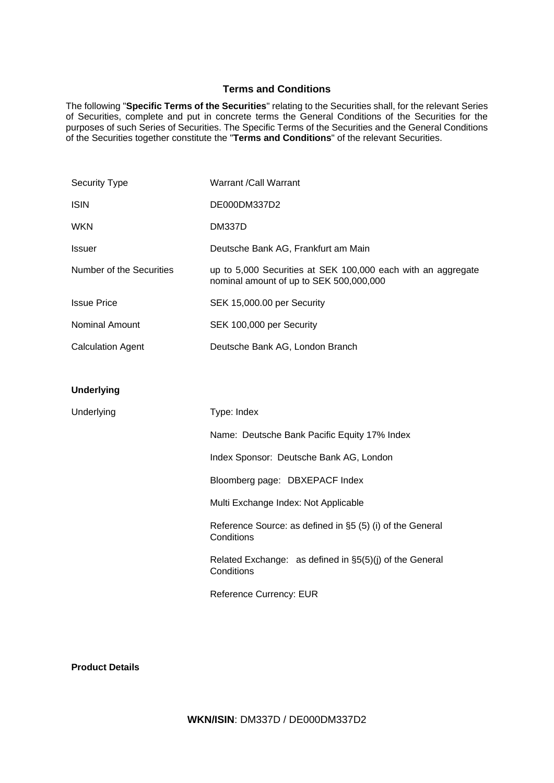# **Terms and Conditions**

The following "**Specific Terms of the Securities**" relating to the Securities shall, for the relevant Series of Securities, complete and put in concrete terms the General Conditions of the Securities for the purposes of such Series of Securities. The Specific Terms of the Securities and the General Conditions of the Securities together constitute the "**Terms and Conditions**" of the relevant Securities.

| <b>Security Type</b>     | Warrant /Call Warrant                                                                                   |
|--------------------------|---------------------------------------------------------------------------------------------------------|
| <b>ISIN</b>              | DE000DM337D2                                                                                            |
| <b>WKN</b>               | DM337D                                                                                                  |
| <b>Issuer</b>            | Deutsche Bank AG, Frankfurt am Main                                                                     |
| Number of the Securities | up to 5,000 Securities at SEK 100,000 each with an aggregate<br>nominal amount of up to SEK 500,000,000 |
| <b>Issue Price</b>       | SEK 15,000.00 per Security                                                                              |
| Nominal Amount           | SEK 100,000 per Security                                                                                |
| <b>Calculation Agent</b> | Deutsche Bank AG, London Branch                                                                         |
|                          |                                                                                                         |
| <b>Underlying</b>        |                                                                                                         |
| Underlying               | Type: Index                                                                                             |
|                          | Name: Deutsche Bank Pacific Equity 17% Index                                                            |
|                          | Index Sponsor: Deutsche Bank AG, London                                                                 |
|                          | Bloomberg page: DBXEPACF Index                                                                          |
|                          | Multi Exchange Index: Not Applicable                                                                    |
|                          | Reference Source: as defined in §5 (5) (i) of the General<br>Conditions                                 |
|                          | Related Exchange: as defined in §5(5)(j) of the General<br>Conditions                                   |
|                          | <b>Reference Currency: EUR</b>                                                                          |

**Product Details**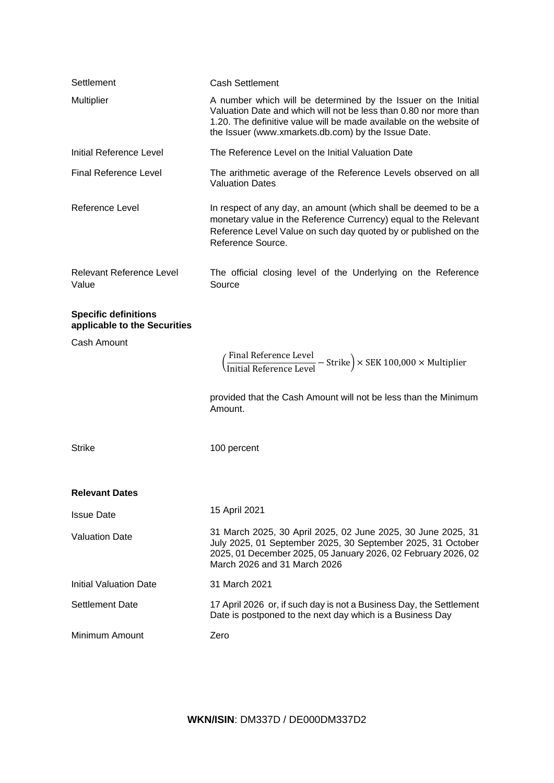| Settlement                                                  | <b>Cash Settlement</b>                                                                                                                                                                                                                                            |
|-------------------------------------------------------------|-------------------------------------------------------------------------------------------------------------------------------------------------------------------------------------------------------------------------------------------------------------------|
| <b>Multiplier</b>                                           | A number which will be determined by the Issuer on the Initial<br>Valuation Date and which will not be less than 0.80 nor more than<br>1.20. The definitive value will be made available on the website of<br>the Issuer (www.xmarkets.db.com) by the Issue Date. |
| Initial Reference Level                                     | The Reference Level on the Initial Valuation Date                                                                                                                                                                                                                 |
| <b>Final Reference Level</b>                                | The arithmetic average of the Reference Levels observed on all<br><b>Valuation Dates</b>                                                                                                                                                                          |
| <b>Reference Level</b>                                      | In respect of any day, an amount (which shall be deemed to be a<br>monetary value in the Reference Currency) equal to the Relevant<br>Reference Level Value on such day quoted by or published on the<br>Reference Source.                                        |
| <b>Relevant Reference Level</b><br>Value                    | The official closing level of the Underlying on the Reference<br>Source                                                                                                                                                                                           |
| <b>Specific definitions</b><br>applicable to the Securities |                                                                                                                                                                                                                                                                   |
| Cash Amount                                                 |                                                                                                                                                                                                                                                                   |
|                                                             | ( <del>Finitial Reference Level</del> – Strike) × SEK 100,000 × Multiplier                                                                                                                                                                                        |
|                                                             | provided that the Cash Amount will not be less than the Minimum<br>Amount.                                                                                                                                                                                        |
| <b>Strike</b>                                               | 100 percent                                                                                                                                                                                                                                                       |
| <b>Relevant Dates</b>                                       |                                                                                                                                                                                                                                                                   |
| <b>Issue Date</b>                                           | 15 April 2021                                                                                                                                                                                                                                                     |
| <b>Valuation Date</b>                                       | 31 March 2025, 30 April 2025, 02 June 2025, 30 June 2025, 31<br>July 2025, 01 September 2025, 30 September 2025, 31 October<br>2025, 01 December 2025, 05 January 2026, 02 February 2026, 02<br>March 2026 and 31 March 2026                                      |
| <b>Initial Valuation Date</b>                               | 31 March 2021                                                                                                                                                                                                                                                     |
| <b>Settlement Date</b>                                      | 17 April 2026 or, if such day is not a Business Day, the Settlement<br>Date is postponed to the next day which is a Business Day                                                                                                                                  |
| Minimum Amount                                              | Zero                                                                                                                                                                                                                                                              |

**WKN/ISIN**: DM337D / DE000DM337D2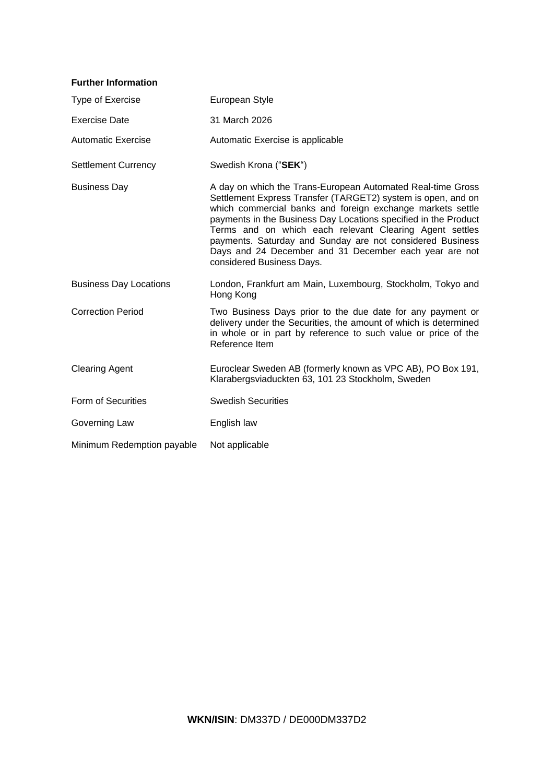| <b>Further Information</b>    |                                                                                                                                                                                                                                                                                                                                                                                                                                                                             |
|-------------------------------|-----------------------------------------------------------------------------------------------------------------------------------------------------------------------------------------------------------------------------------------------------------------------------------------------------------------------------------------------------------------------------------------------------------------------------------------------------------------------------|
| Type of Exercise              | European Style                                                                                                                                                                                                                                                                                                                                                                                                                                                              |
| <b>Exercise Date</b>          | 31 March 2026                                                                                                                                                                                                                                                                                                                                                                                                                                                               |
| <b>Automatic Exercise</b>     | Automatic Exercise is applicable                                                                                                                                                                                                                                                                                                                                                                                                                                            |
| <b>Settlement Currency</b>    | Swedish Krona ("SEK")                                                                                                                                                                                                                                                                                                                                                                                                                                                       |
| <b>Business Day</b>           | A day on which the Trans-European Automated Real-time Gross<br>Settlement Express Transfer (TARGET2) system is open, and on<br>which commercial banks and foreign exchange markets settle<br>payments in the Business Day Locations specified in the Product<br>Terms and on which each relevant Clearing Agent settles<br>payments. Saturday and Sunday are not considered Business<br>Days and 24 December and 31 December each year are not<br>considered Business Days. |
| <b>Business Day Locations</b> | London, Frankfurt am Main, Luxembourg, Stockholm, Tokyo and<br>Hong Kong                                                                                                                                                                                                                                                                                                                                                                                                    |
| <b>Correction Period</b>      | Two Business Days prior to the due date for any payment or<br>delivery under the Securities, the amount of which is determined<br>in whole or in part by reference to such value or price of the<br>Reference Item                                                                                                                                                                                                                                                          |
| <b>Clearing Agent</b>         | Euroclear Sweden AB (formerly known as VPC AB), PO Box 191,<br>Klarabergsviaduckten 63, 101 23 Stockholm, Sweden                                                                                                                                                                                                                                                                                                                                                            |
| Form of Securities            | <b>Swedish Securities</b>                                                                                                                                                                                                                                                                                                                                                                                                                                                   |
| Governing Law                 | English law                                                                                                                                                                                                                                                                                                                                                                                                                                                                 |
| Minimum Redemption payable    | Not applicable                                                                                                                                                                                                                                                                                                                                                                                                                                                              |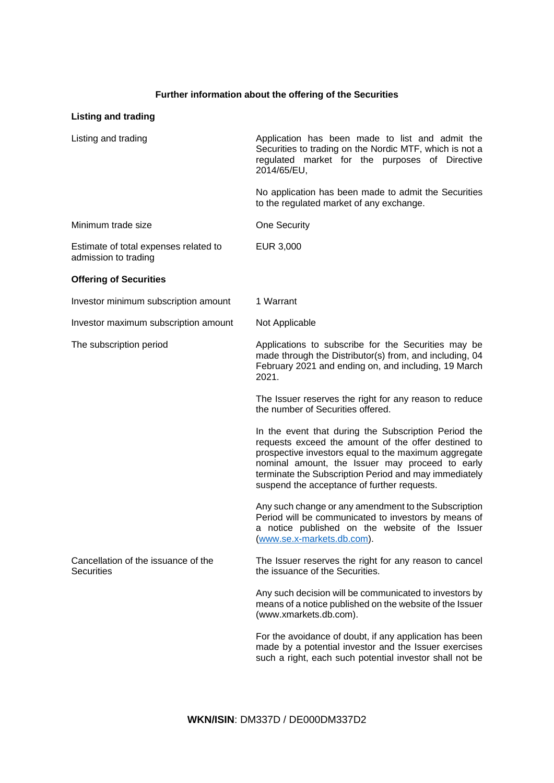# **Further information about the offering of the Securities**

# **Listing and trading**

| Listing and trading                                           | Application has been made to list and admit the<br>Securities to trading on the Nordic MTF, which is not a<br>regulated market for the purposes of Directive<br>2014/65/EU,                                                                                                                                                    |
|---------------------------------------------------------------|--------------------------------------------------------------------------------------------------------------------------------------------------------------------------------------------------------------------------------------------------------------------------------------------------------------------------------|
|                                                               | No application has been made to admit the Securities<br>to the regulated market of any exchange.                                                                                                                                                                                                                               |
| Minimum trade size                                            | <b>One Security</b>                                                                                                                                                                                                                                                                                                            |
| Estimate of total expenses related to<br>admission to trading | EUR 3,000                                                                                                                                                                                                                                                                                                                      |
| <b>Offering of Securities</b>                                 |                                                                                                                                                                                                                                                                                                                                |
| Investor minimum subscription amount                          | 1 Warrant                                                                                                                                                                                                                                                                                                                      |
| Investor maximum subscription amount                          | Not Applicable                                                                                                                                                                                                                                                                                                                 |
| The subscription period                                       | Applications to subscribe for the Securities may be<br>made through the Distributor(s) from, and including, 04<br>February 2021 and ending on, and including, 19 March<br>2021.                                                                                                                                                |
|                                                               | The Issuer reserves the right for any reason to reduce<br>the number of Securities offered.                                                                                                                                                                                                                                    |
|                                                               | In the event that during the Subscription Period the<br>requests exceed the amount of the offer destined to<br>prospective investors equal to the maximum aggregate<br>nominal amount, the Issuer may proceed to early<br>terminate the Subscription Period and may immediately<br>suspend the acceptance of further requests. |
|                                                               | Any such change or any amendment to the Subscription<br>Period will be communicated to investors by means of<br>a notice published on the website of the Issuer<br>(www.se.x-markets.db.com).                                                                                                                                  |
| Cancellation of the issuance of the<br><b>Securities</b>      | The Issuer reserves the right for any reason to cancel<br>the issuance of the Securities.                                                                                                                                                                                                                                      |
|                                                               | Any such decision will be communicated to investors by<br>means of a notice published on the website of the Issuer<br>(www.xmarkets.db.com).                                                                                                                                                                                   |
|                                                               | For the avoidance of doubt, if any application has been<br>made by a potential investor and the Issuer exercises<br>such a right, each such potential investor shall not be                                                                                                                                                    |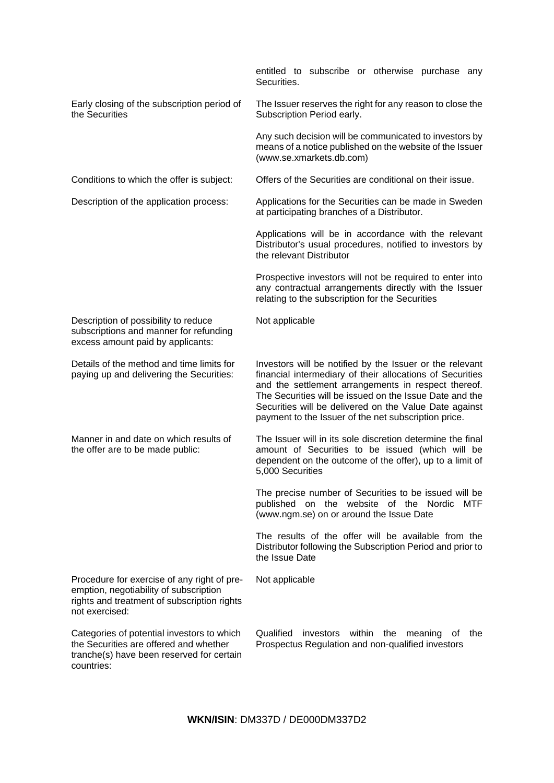|                                                                                                                                                        | entitled to subscribe or otherwise purchase any<br>Securities.                                                                                                                                                                                                                                                                                            |  |  |
|--------------------------------------------------------------------------------------------------------------------------------------------------------|-----------------------------------------------------------------------------------------------------------------------------------------------------------------------------------------------------------------------------------------------------------------------------------------------------------------------------------------------------------|--|--|
| Early closing of the subscription period of<br>the Securities                                                                                          | The Issuer reserves the right for any reason to close the<br>Subscription Period early.                                                                                                                                                                                                                                                                   |  |  |
|                                                                                                                                                        | Any such decision will be communicated to investors by<br>means of a notice published on the website of the Issuer<br>(www.se.xmarkets.db.com)                                                                                                                                                                                                            |  |  |
| Conditions to which the offer is subject:                                                                                                              | Offers of the Securities are conditional on their issue.                                                                                                                                                                                                                                                                                                  |  |  |
| Description of the application process:                                                                                                                | Applications for the Securities can be made in Sweden<br>at participating branches of a Distributor.                                                                                                                                                                                                                                                      |  |  |
|                                                                                                                                                        | Applications will be in accordance with the relevant<br>Distributor's usual procedures, notified to investors by<br>the relevant Distributor                                                                                                                                                                                                              |  |  |
|                                                                                                                                                        | Prospective investors will not be required to enter into<br>any contractual arrangements directly with the Issuer<br>relating to the subscription for the Securities                                                                                                                                                                                      |  |  |
| Description of possibility to reduce<br>subscriptions and manner for refunding<br>excess amount paid by applicants:                                    | Not applicable                                                                                                                                                                                                                                                                                                                                            |  |  |
| Details of the method and time limits for<br>paying up and delivering the Securities:                                                                  | Investors will be notified by the Issuer or the relevant<br>financial intermediary of their allocations of Securities<br>and the settlement arrangements in respect thereof.<br>The Securities will be issued on the Issue Date and the<br>Securities will be delivered on the Value Date against<br>payment to the Issuer of the net subscription price. |  |  |
| Manner in and date on which results of<br>the offer are to be made public:                                                                             | The Issuer will in its sole discretion determine the final<br>amount of Securities to be issued (which will be<br>dependent on the outcome of the offer), up to a limit of<br>5,000 Securities                                                                                                                                                            |  |  |
|                                                                                                                                                        | The precise number of Securities to be issued will be<br>published on the website of the Nordic MTF<br>(www.ngm.se) on or around the Issue Date                                                                                                                                                                                                           |  |  |
|                                                                                                                                                        | The results of the offer will be available from the<br>Distributor following the Subscription Period and prior to<br>the Issue Date                                                                                                                                                                                                                       |  |  |
| Procedure for exercise of any right of pre-<br>emption, negotiability of subscription<br>rights and treatment of subscription rights<br>not exercised: | Not applicable                                                                                                                                                                                                                                                                                                                                            |  |  |
| Categories of potential investors to which<br>the Securities are offered and whether<br>tranche(s) have been reserved for certain<br>countries:        | Qualified<br>investors within<br>the<br>meaning<br>the<br>0t<br>Prospectus Regulation and non-qualified investors                                                                                                                                                                                                                                         |  |  |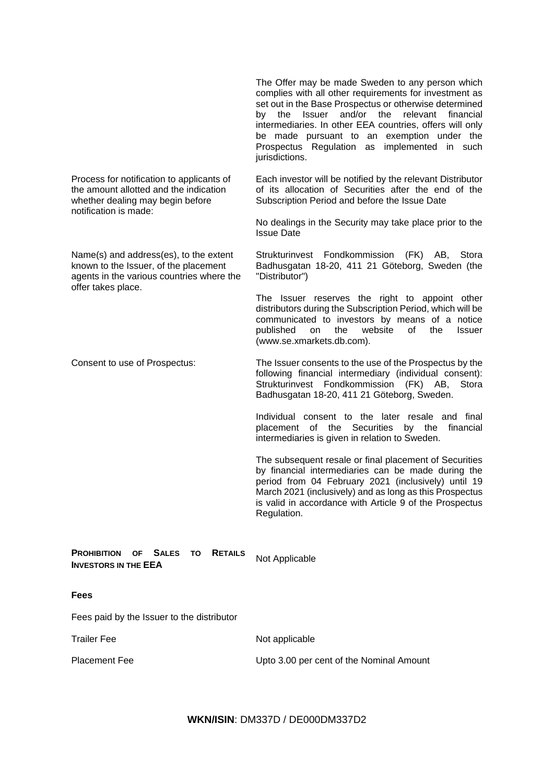complies with all other requirements for investment as set out in the Base Prospectus or otherwise determined by the Issuer and/or the relevant financial intermediaries. In other EEA countries, offers will only be made pursuant to an exemption under the Prospectus Regulation as implemented in such jurisdictions. Process for notification to applicants of the amount allotted and the indication whether dealing may begin before notification is made: Each investor will be notified by the relevant Distributor of its allocation of Securities after the end of the Subscription Period and before the Issue Date No dealings in the Security may take place prior to the Issue Date Name(s) and address(es), to the extent known to the Issuer, of the placement agents in the various countries where the offer takes place. Strukturinvest Fondkommission (FK) AB, Stora Badhusgatan 18-20, 411 21 Göteborg, Sweden (the "Distributor") The Issuer reserves the right to appoint other distributors during the Subscription Period, which will be communicated to investors by means of a notice published on the website of the Issuer (www.se.xmarkets.db.com). Consent to use of Prospectus: The Issuer consents to the use of the Prospectus by the following financial intermediary (individual consent): Strukturinvest Fondkommission (FK) AB, Stora Badhusgatan 18-20, 411 21 Göteborg, Sweden. Individual consent to the later resale and final placement of the Securities by the financial intermediaries is given in relation to Sweden. The subsequent resale or final placement of Securities by financial intermediaries can be made during the period from 04 February 2021 (inclusively) until 19 March 2021 (inclusively) and as long as this Prospectus is valid in accordance with Article 9 of the Prospectus Regulation. **PROHIBITION OF SALES TO RETAILS INVESTORS IN THE <b>EEA** ID RETAILS Not Applicable

**Fees**

Fees paid by the Issuer to the distributor

Trailer Fee Not applicable

Placement Fee **No. 2.000 Placement Fee** Upto 3.00 per cent of the Nominal Amount

The Offer may be made Sweden to any person which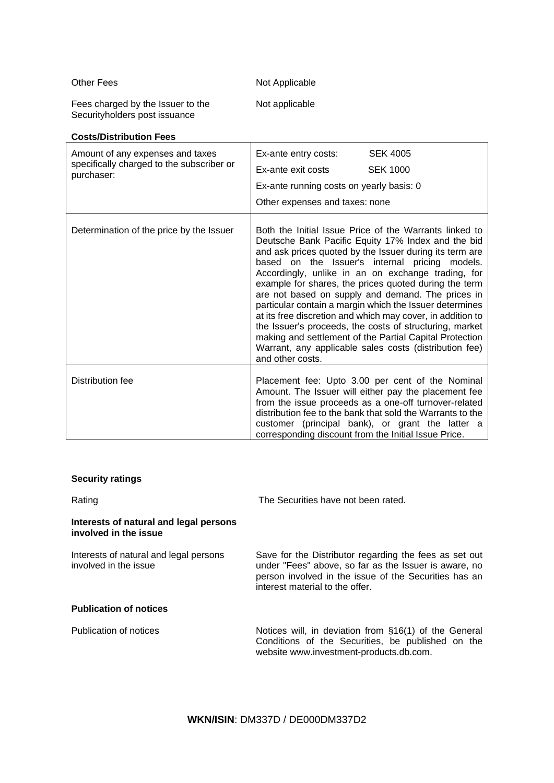# Other Fees Not Applicable

Fees charged by the Issuer to the Securityholders post issuance

**Costs/Distribution Fees**

Not applicable

| Amount of any expenses and taxes<br>specifically charged to the subscriber or | <b>SEK 4005</b><br>Ex-ante entry costs:                                                                                                                                                                                                                                                                                                                                                                                                                                                                                                                                                                                                                                                                                    |  |
|-------------------------------------------------------------------------------|----------------------------------------------------------------------------------------------------------------------------------------------------------------------------------------------------------------------------------------------------------------------------------------------------------------------------------------------------------------------------------------------------------------------------------------------------------------------------------------------------------------------------------------------------------------------------------------------------------------------------------------------------------------------------------------------------------------------------|--|
| purchaser:                                                                    | <b>SEK 1000</b><br>Ex-ante exit costs                                                                                                                                                                                                                                                                                                                                                                                                                                                                                                                                                                                                                                                                                      |  |
|                                                                               | Ex-ante running costs on yearly basis: 0                                                                                                                                                                                                                                                                                                                                                                                                                                                                                                                                                                                                                                                                                   |  |
|                                                                               | Other expenses and taxes: none                                                                                                                                                                                                                                                                                                                                                                                                                                                                                                                                                                                                                                                                                             |  |
| Determination of the price by the Issuer                                      | Both the Initial Issue Price of the Warrants linked to<br>Deutsche Bank Pacific Equity 17% Index and the bid<br>and ask prices quoted by the Issuer during its term are<br>based on the Issuer's internal pricing models.<br>Accordingly, unlike in an on exchange trading, for<br>example for shares, the prices quoted during the term<br>are not based on supply and demand. The prices in<br>particular contain a margin which the Issuer determines<br>at its free discretion and which may cover, in addition to<br>the Issuer's proceeds, the costs of structuring, market<br>making and settlement of the Partial Capital Protection<br>Warrant, any applicable sales costs (distribution fee)<br>and other costs. |  |
| Distribution fee                                                              | Placement fee: Upto 3.00 per cent of the Nominal<br>Amount. The Issuer will either pay the placement fee<br>from the issue proceeds as a one-off turnover-related<br>distribution fee to the bank that sold the Warrants to the<br>customer (principal bank), or grant the latter a<br>corresponding discount from the Initial Issue Price.                                                                                                                                                                                                                                                                                                                                                                                |  |

# **Security ratings**

Rating Rating **The Securities have not been rated.** 

# **Interests of natural and legal persons involved in the issue**

Interests of natural and legal persons involved in the issue Save for the Distributor regarding the fees as set out under "Fees" above, so far as the Issuer is aware, no person involved in the issue of the Securities has an interest material to the offer. **Publication of notices**

Publication of notices **Notices** Notices will, in deviation from §16(1) of the General Conditions of the Securities, be published on the website www.investment-products.db.com.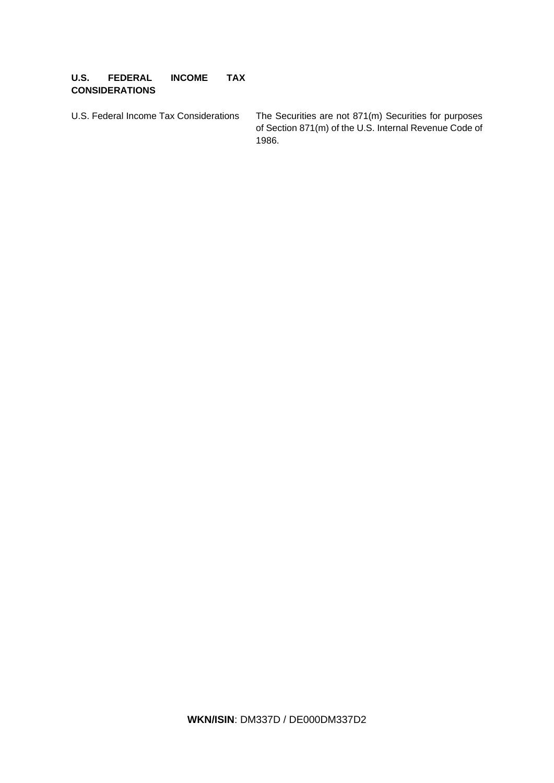# **U.S. FEDERAL INCOME TAX CONSIDERATIONS**

U.S. Federal Income Tax Considerations The Securities are not 871(m) Securities for purposes of Section 871(m) of the U.S. Internal Revenue Code of 1986.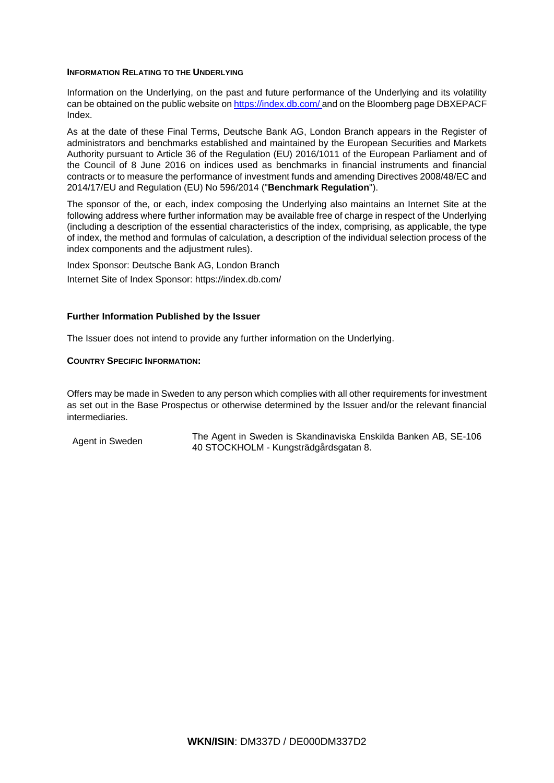## **INFORMATION RELATING TO THE UNDERLYING**

Information on the Underlying, on the past and future performance of the Underlying and its volatility can be obtained on the public website on https://index.db.com/ and on the Bloomberg page DBXEPACF Index.

As at the date of these Final Terms, Deutsche Bank AG, London Branch appears in the Register of administrators and benchmarks established and maintained by the European Securities and Markets Authority pursuant to Article 36 of the Regulation (EU) 2016/1011 of the European Parliament and of the Council of 8 June 2016 on indices used as benchmarks in financial instruments and financial contracts or to measure the performance of investment funds and amending Directives 2008/48/EC and 2014/17/EU and Regulation (EU) No 596/2014 ("**Benchmark Regulation**").

The sponsor of the, or each, index composing the Underlying also maintains an Internet Site at the following address where further information may be available free of charge in respect of the Underlying (including a description of the essential characteristics of the index, comprising, as applicable, the type of index, the method and formulas of calculation, a description of the individual selection process of the index components and the adjustment rules).

Index Sponsor: Deutsche Bank AG, London Branch

Internet Site of Index Sponsor: https://index.db.com/

# **Further Information Published by the Issuer**

The Issuer does not intend to provide any further information on the Underlying.

# **COUNTRY SPECIFIC INFORMATION:**

Offers may be made in Sweden to any person which complies with all other requirements for investment as set out in the Base Prospectus or otherwise determined by the Issuer and/or the relevant financial intermediaries.

Agent in Sweden The Agent in Sweden is Skandinaviska Enskilda Banken AB, SE-106 40 STOCKHOLM - Kungsträdgårdsgatan 8.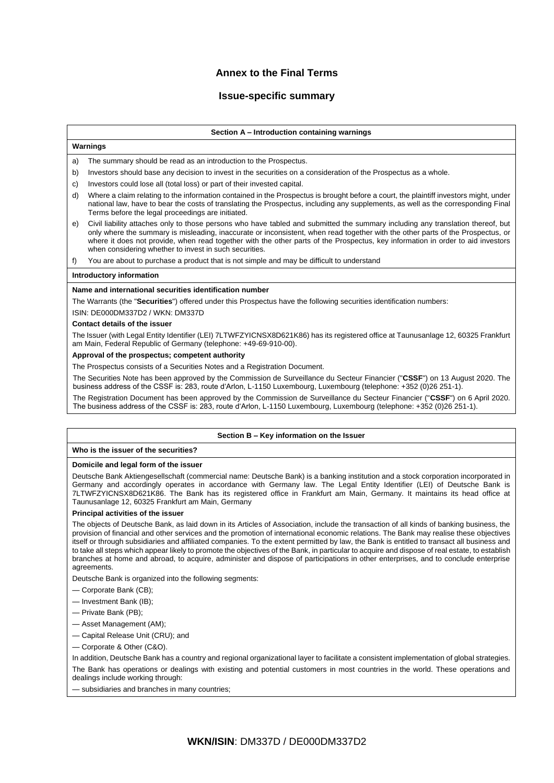# **Annex to the Final Terms**

# **Issue-specific summary**

#### **Section A – Introduction containing warnings**

## **Warnings**

- a) The summary should be read as an introduction to the Prospectus.
- b) Investors should base any decision to invest in the securities on a consideration of the Prospectus as a whole.
- c) Investors could lose all (total loss) or part of their invested capital.
- d) Where a claim relating to the information contained in the Prospectus is brought before a court, the plaintiff investors might, under national law, have to bear the costs of translating the Prospectus, including any supplements, as well as the corresponding Final Terms before the legal proceedings are initiated.
- e) Civil liability attaches only to those persons who have tabled and submitted the summary including any translation thereof, but only where the summary is misleading, inaccurate or inconsistent, when read together with the other parts of the Prospectus, or where it does not provide, when read together with the other parts of the Prospectus, key information in order to aid investors when considering whether to invest in such securities.

f) You are about to purchase a product that is not simple and may be difficult to understand

#### **Introductory information**

#### **Name and international securities identification number**

The Warrants (the "**Securities**") offered under this Prospectus have the following securities identification numbers:

ISIN: DE000DM337D2 / WKN: DM337D

### **Contact details of the issuer**

The Issuer (with Legal Entity Identifier (LEI) 7LTWFZYICNSX8D621K86) has its registered office at Taunusanlage 12, 60325 Frankfurt am Main, Federal Republic of Germany (telephone: +49-69-910-00).

#### **Approval of the prospectus; competent authority**

The Prospectus consists of a Securities Notes and a Registration Document.

The Securities Note has been approved by the Commission de Surveillance du Secteur Financier ("**CSSF**") on 13 August 2020. The business address of the CSSF is: 283, route d'Arlon, L-1150 Luxembourg, Luxembourg (telephone: +352 (0)26 251-1).

The Registration Document has been approved by the Commission de Surveillance du Secteur Financier ("**CSSF**") on 6 April 2020. The business address of the CSSF is: 283, route d'Arlon, L-1150 Luxembourg, Luxembourg (telephone: +352 (0)26 251-1).

#### **Section B – Key information on the Issuer**

#### **Who is the issuer of the securities?**

#### **Domicile and legal form of the issuer**

Deutsche Bank Aktiengesellschaft (commercial name: Deutsche Bank) is a banking institution and a stock corporation incorporated in Germany and accordingly operates in accordance with Germany law. The Legal Entity Identifier (LEI) of Deutsche Bank is 7LTWFZYICNSX8D621K86. The Bank has its registered office in Frankfurt am Main, Germany. It maintains its head office at Taunusanlage 12, 60325 Frankfurt am Main, Germany

#### **Principal activities of the issuer**

The objects of Deutsche Bank, as laid down in its Articles of Association, include the transaction of all kinds of banking business, the provision of financial and other services and the promotion of international economic relations. The Bank may realise these objectives itself or through subsidiaries and affiliated companies. To the extent permitted by law, the Bank is entitled to transact all business and to take all steps which appear likely to promote the objectives of the Bank, in particular to acquire and dispose of real estate, to establish branches at home and abroad, to acquire, administer and dispose of participations in other enterprises, and to conclude enterprise agreements

Deutsche Bank is organized into the following segments:

- Corporate Bank (CB);
- Investment Bank (IB);
- Private Bank (PB);
- Asset Management (AM);
- Capital Release Unit (CRU); and
- Corporate & Other (C&O).

In addition, Deutsche Bank has a country and regional organizational layer to facilitate a consistent implementation of global strategies. The Bank has operations or dealings with existing and potential customers in most countries in the world. These operations and dealings include working through:

— subsidiaries and branches in many countries;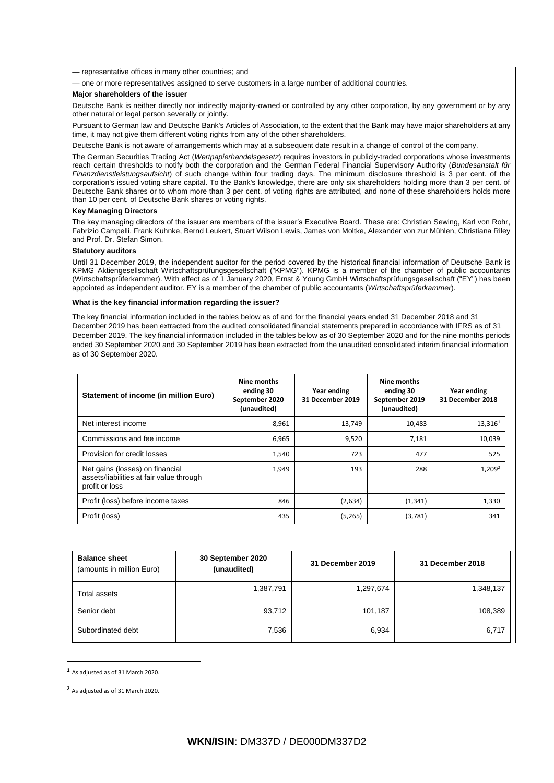— representative offices in many other countries; and

— one or more representatives assigned to serve customers in a large number of additional countries.

#### **Major shareholders of the issuer**

Deutsche Bank is neither directly nor indirectly majority-owned or controlled by any other corporation, by any government or by any other natural or legal person severally or jointly.

Pursuant to German law and Deutsche Bank's Articles of Association, to the extent that the Bank may have major shareholders at any time, it may not give them different voting rights from any of the other shareholders.

Deutsche Bank is not aware of arrangements which may at a subsequent date result in a change of control of the company.

The German Securities Trading Act (*Wertpapierhandelsgesetz*) requires investors in publicly-traded corporations whose investments reach certain thresholds to notify both the corporation and the German Federal Financial Supervisory Authority (*Bundesanstalt für Finanzdienstleistungsaufsicht*) of such change within four trading days. The minimum disclosure threshold is 3 per cent. of the corporation's issued voting share capital. To the Bank's knowledge, there are only six shareholders holding more than 3 per cent. of Deutsche Bank shares or to whom more than 3 per cent. of voting rights are attributed, and none of these shareholders holds more than 10 per cent. of Deutsche Bank shares or voting rights.

#### **Key Managing Directors**

The key managing directors of the issuer are members of the issuer's Executive Board. These are: Christian Sewing, Karl von Rohr, Fabrizio Campelli, Frank Kuhnke, Bernd Leukert, Stuart Wilson Lewis, James von Moltke, Alexander von zur Mühlen, Christiana Riley and Prof. Dr. Stefan Simon.

#### **Statutory auditors**

Until 31 December 2019, the independent auditor for the period covered by the historical financial information of Deutsche Bank is KPMG Aktiengesellschaft Wirtschaftsprüfungsgesellschaft ("KPMG"). KPMG is a member of the chamber of public accountants (Wirtschaftsprüferkammer). With effect as of 1 January 2020, Ernst & Young GmbH Wirtschaftsprüfungsgesellschaft ("EY") has been appointed as independent auditor. EY is a member of the chamber of public accountants (*Wirtschaftsprüferkammer*).

#### **What is the key financial information regarding the issuer?**

The key financial information included in the tables below as of and for the financial years ended 31 December 2018 and 31 December 2019 has been extracted from the audited consolidated financial statements prepared in accordance with IFRS as of 31 December 2019. The key financial information included in the tables below as of 30 September 2020 and for the nine months periods ended 30 September 2020 and 30 September 2019 has been extracted from the unaudited consolidated interim financial information as of 30 September 2020.

| Statement of income (in million Euro)                                                         | Nine months<br>ending 30<br>September 2020<br>(unaudited) | Year ending<br>31 December 2019 | Nine months<br>ending 30<br>September 2019<br>(unaudited) | Year ending<br>31 December 2018 |
|-----------------------------------------------------------------------------------------------|-----------------------------------------------------------|---------------------------------|-----------------------------------------------------------|---------------------------------|
| Net interest income                                                                           | 8,961                                                     | 13,749                          | 10,483                                                    | $13,316^1$                      |
| Commissions and fee income                                                                    | 6,965                                                     | 9,520                           | 7,181                                                     | 10,039                          |
| Provision for credit losses                                                                   | 1,540                                                     | 723                             | 477                                                       | 525                             |
| Net gains (losses) on financial<br>assets/liabilities at fair value through<br>profit or loss | 1,949                                                     | 193                             | 288                                                       | $1,209^2$                       |
| Profit (loss) before income taxes                                                             | 846                                                       | (2,634)                         | (1, 341)                                                  | 1,330                           |
| Profit (loss)                                                                                 | 435                                                       | (5,265)                         | (3,781)                                                   | 341                             |

| <b>Balance sheet</b><br>(amounts in million Euro) | 30 September 2020<br>(unaudited) | 31 December 2019 | 31 December 2018 |
|---------------------------------------------------|----------------------------------|------------------|------------------|
| Total assets                                      | 1,387,791                        | 1,297,674        | 1,348,137        |
| Senior debt                                       | 93,712                           | 101,187          | 108,389          |
| Subordinated debt                                 | 7,536                            | 6,934            | 6,717            |

**<sup>1</sup>** As adjusted as of 31 March 2020.

**.** 

**<sup>2</sup>** As adjusted as of 31 March 2020.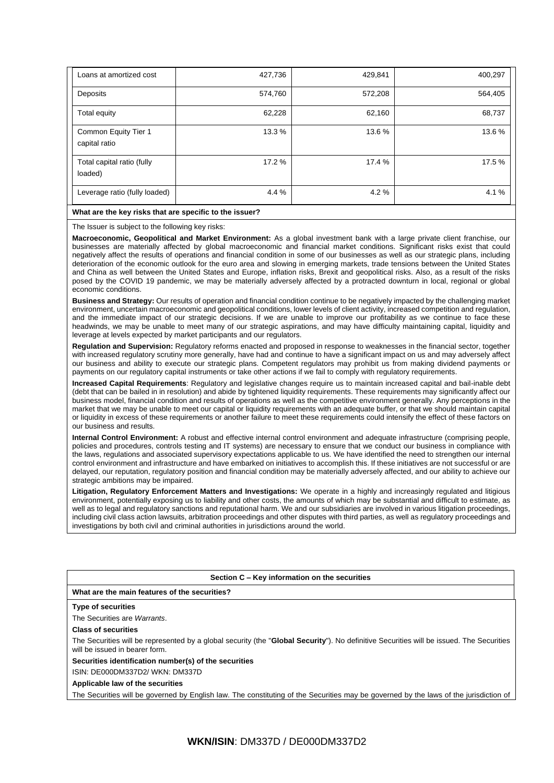| Loans at amortized cost               | 427,736 | 429,841 | 400,297 |
|---------------------------------------|---------|---------|---------|
| Deposits                              | 574,760 | 572,208 | 564,405 |
| Total equity                          | 62,228  | 62,160  | 68,737  |
| Common Equity Tier 1<br>capital ratio | 13.3%   | 13.6%   | 13.6 %  |
| Total capital ratio (fully<br>loaded) | 17.2 %  | 17.4 %  | 17.5 %  |
| Leverage ratio (fully loaded)         | 4.4%    | 4.2%    | 4.1 %   |

#### **What are the key risks that are specific to the issuer?**

The Issuer is subject to the following key risks:

**Macroeconomic, Geopolitical and Market Environment:** As a global investment bank with a large private client franchise, our businesses are materially affected by global macroeconomic and financial market conditions. Significant risks exist that could negatively affect the results of operations and financial condition in some of our businesses as well as our strategic plans, including deterioration of the economic outlook for the euro area and slowing in emerging markets, trade tensions between the United States and China as well between the United States and Europe, inflation risks, Brexit and geopolitical risks. Also, as a result of the risks posed by the COVID 19 pandemic, we may be materially adversely affected by a protracted downturn in local, regional or global economic conditions.

**Business and Strategy:** Our results of operation and financial condition continue to be negatively impacted by the challenging market environment, uncertain macroeconomic and geopolitical conditions, lower levels of client activity, increased competition and regulation, and the immediate impact of our strategic decisions. If we are unable to improve our profitability as we continue to face these headwinds, we may be unable to meet many of our strategic aspirations, and may have difficulty maintaining capital, liquidity and leverage at levels expected by market participants and our regulators.

**Regulation and Supervision:** Regulatory reforms enacted and proposed in response to weaknesses in the financial sector, together with increased regulatory scrutiny more generally, have had and continue to have a significant impact on us and may adversely affect our business and ability to execute our strategic plans. Competent regulators may prohibit us from making dividend payments or payments on our regulatory capital instruments or take other actions if we fail to comply with regulatory requirements.

**Increased Capital Requirements**: Regulatory and legislative changes require us to maintain increased capital and bail-inable debt (debt that can be bailed in in resolution) and abide by tightened liquidity requirements. These requirements may significantly affect our business model, financial condition and results of operations as well as the competitive environment generally. Any perceptions in the market that we may be unable to meet our capital or liquidity requirements with an adequate buffer, or that we should maintain capital or liquidity in excess of these requirements or another failure to meet these requirements could intensify the effect of these factors on our business and results.

**Internal Control Environment:** A robust and effective internal control environment and adequate infrastructure (comprising people, policies and procedures, controls testing and IT systems) are necessary to ensure that we conduct our business in compliance with the laws, regulations and associated supervisory expectations applicable to us. We have identified the need to strengthen our internal control environment and infrastructure and have embarked on initiatives to accomplish this. If these initiatives are not successful or are delayed, our reputation, regulatory position and financial condition may be materially adversely affected, and our ability to achieve our strategic ambitions may be impaired.

**Litigation, Regulatory Enforcement Matters and Investigations:** We operate in a highly and increasingly regulated and litigious environment, potentially exposing us to liability and other costs, the amounts of which may be substantial and difficult to estimate, as well as to legal and regulatory sanctions and reputational harm. We and our subsidiaries are involved in various litigation proceedings, including civil class action lawsuits, arbitration proceedings and other disputes with third parties, as well as regulatory proceedings and investigations by both civil and criminal authorities in jurisdictions around the world.

#### **Section C – Key information on the securities**

### **What are the main features of the securities?**

#### **Type of securities**

The Securities are *Warrants*.

#### **Class of securities**

The Securities will be represented by a global security (the "**Global Security**"). No definitive Securities will be issued. The Securities will be issued in bearer form.

#### **Securities identification number(s) of the securities**

ISIN: DE000DM337D2/ WKN: DM337D

**Applicable law of the securities**

The Securities will be governed by English law. The constituting of the Securities may be governed by the laws of the jurisdiction of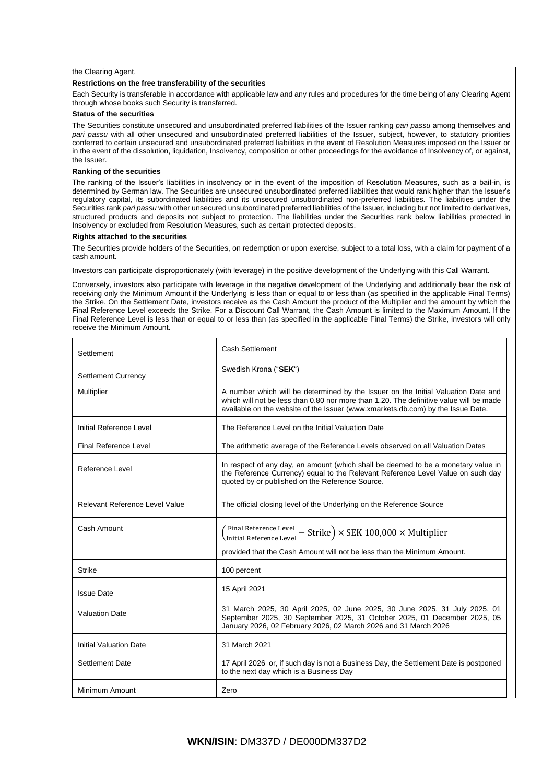#### the Clearing Agent.

#### **Restrictions on the free transferability of the securities**

Each Security is transferable in accordance with applicable law and any rules and procedures for the time being of any Clearing Agent through whose books such Security is transferred.

#### **Status of the securities**

The Securities constitute unsecured and unsubordinated preferred liabilities of the Issuer ranking *pari passu* among themselves and *pari passu* with all other unsecured and unsubordinated preferred liabilities of the Issuer, subject, however, to statutory priorities conferred to certain unsecured and unsubordinated preferred liabilities in the event of Resolution Measures imposed on the Issuer or in the event of the dissolution, liquidation, Insolvency, composition or other proceedings for the avoidance of Insolvency of, or against, the Issuer.

#### **Ranking of the securities**

The ranking of the Issuer's liabilities in insolvency or in the event of the imposition of Resolution Measures, such as a bail-in, is determined by German law. The Securities are unsecured unsubordinated preferred liabilities that would rank higher than the Issuer's regulatory capital, its subordinated liabilities and its unsecured unsubordinated non-preferred liabilities. The liabilities under the Securities rank *pari passu* with other unsecured unsubordinated preferred liabilities of the Issuer, including but not limited to derivatives, structured products and deposits not subject to protection. The liabilities under the Securities rank below liabilities protected in Insolvency or excluded from Resolution Measures, such as certain protected deposits.

#### **Rights attached to the securities**

The Securities provide holders of the Securities, on redemption or upon exercise, subject to a total loss, with a claim for payment of a cash amount.

Investors can participate disproportionately (with leverage) in the positive development of the Underlying with this Call Warrant.

Conversely, investors also participate with leverage in the negative development of the Underlying and additionally bear the risk of receiving only the Minimum Amount if the Underlying is less than or equal to or less than (as specified in the applicable Final Terms) the Strike. On the Settlement Date, investors receive as the Cash Amount the product of the Multiplier and the amount by which the Final Reference Level exceeds the Strike. For a Discount Call Warrant, the Cash Amount is limited to the Maximum Amount. If the Final Reference Level is less than or equal to or less than (as specified in the applicable Final Terms) the Strike, investors will only receive the Minimum Amount.

| Settlement                     | <b>Cash Settlement</b>                                                                                                                                                                                                                                         |  |
|--------------------------------|----------------------------------------------------------------------------------------------------------------------------------------------------------------------------------------------------------------------------------------------------------------|--|
| <b>Settlement Currency</b>     | Swedish Krona ("SEK")                                                                                                                                                                                                                                          |  |
| Multiplier                     | A number which will be determined by the Issuer on the Initial Valuation Date and<br>which will not be less than 0.80 nor more than 1.20. The definitive value will be made<br>available on the website of the Issuer (www.xmarkets.db.com) by the Issue Date. |  |
| Initial Reference Level        | The Reference Level on the Initial Valuation Date                                                                                                                                                                                                              |  |
| Final Reference Level          | The arithmetic average of the Reference Levels observed on all Valuation Dates                                                                                                                                                                                 |  |
| Reference Level                | In respect of any day, an amount (which shall be deemed to be a monetary value in<br>the Reference Currency) equal to the Relevant Reference Level Value on such day<br>quoted by or published on the Reference Source.                                        |  |
| Relevant Reference Level Value | The official closing level of the Underlying on the Reference Source                                                                                                                                                                                           |  |
| Cash Amount                    | $\left(\frac{\text{Final Reference Level}}{\text{Initial Reference Level}} - \text{Strike}\right) \times \text{SEK }100,000 \times \text{Multiplier}$<br>provided that the Cash Amount will not be less than the Minimum Amount.                               |  |
| <b>Strike</b>                  | 100 percent                                                                                                                                                                                                                                                    |  |
| <b>Issue Date</b>              | 15 April 2021                                                                                                                                                                                                                                                  |  |
| <b>Valuation Date</b>          | 31 March 2025, 30 April 2025, 02 June 2025, 30 June 2025, 31 July 2025, 01<br>September 2025, 30 September 2025, 31 October 2025, 01 December 2025, 05<br>January 2026, 02 February 2026, 02 March 2026 and 31 March 2026                                      |  |
| <b>Initial Valuation Date</b>  | 31 March 2021                                                                                                                                                                                                                                                  |  |
| <b>Settlement Date</b>         | 17 April 2026 or, if such day is not a Business Day, the Settlement Date is postponed<br>to the next day which is a Business Day                                                                                                                               |  |
| Minimum Amount                 | Zero                                                                                                                                                                                                                                                           |  |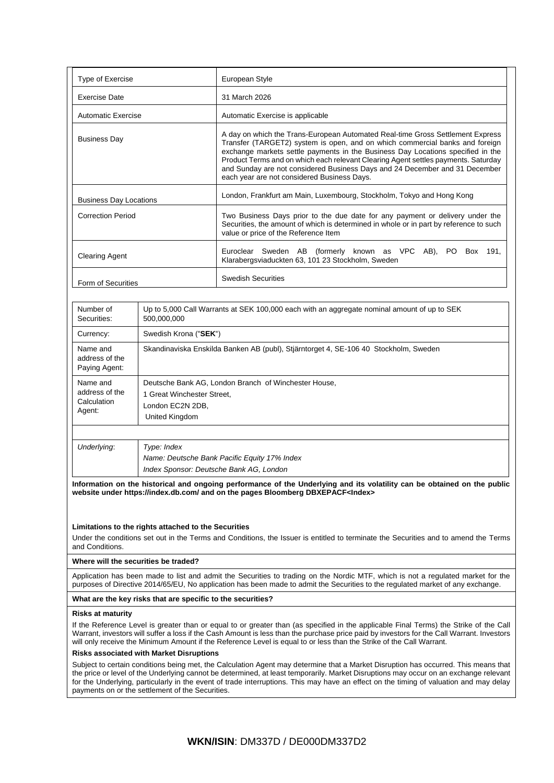| Type of Exercise                                                                                                                                                                                                                                                                                                                                                                                                                                                           |                                                                                                                          | European Style                                                                                                                                                                                                                                                                                                                                                                                                                                                        |  |
|----------------------------------------------------------------------------------------------------------------------------------------------------------------------------------------------------------------------------------------------------------------------------------------------------------------------------------------------------------------------------------------------------------------------------------------------------------------------------|--------------------------------------------------------------------------------------------------------------------------|-----------------------------------------------------------------------------------------------------------------------------------------------------------------------------------------------------------------------------------------------------------------------------------------------------------------------------------------------------------------------------------------------------------------------------------------------------------------------|--|
| <b>Exercise Date</b><br>31 March 2026                                                                                                                                                                                                                                                                                                                                                                                                                                      |                                                                                                                          |                                                                                                                                                                                                                                                                                                                                                                                                                                                                       |  |
| <b>Automatic Exercise</b><br>Automatic Exercise is applicable                                                                                                                                                                                                                                                                                                                                                                                                              |                                                                                                                          |                                                                                                                                                                                                                                                                                                                                                                                                                                                                       |  |
| <b>Business Day</b>                                                                                                                                                                                                                                                                                                                                                                                                                                                        |                                                                                                                          | A day on which the Trans-European Automated Real-time Gross Settlement Express<br>Transfer (TARGET2) system is open, and on which commercial banks and foreign<br>exchange markets settle payments in the Business Day Locations specified in the<br>Product Terms and on which each relevant Clearing Agent settles payments. Saturday<br>and Sunday are not considered Business Days and 24 December and 31 December<br>each year are not considered Business Days. |  |
| <b>Business Day Locations</b>                                                                                                                                                                                                                                                                                                                                                                                                                                              |                                                                                                                          | London, Frankfurt am Main, Luxembourg, Stockholm, Tokyo and Hong Kong                                                                                                                                                                                                                                                                                                                                                                                                 |  |
| <b>Correction Period</b>                                                                                                                                                                                                                                                                                                                                                                                                                                                   |                                                                                                                          | Two Business Days prior to the due date for any payment or delivery under the<br>Securities, the amount of which is determined in whole or in part by reference to such<br>value or price of the Reference Item                                                                                                                                                                                                                                                       |  |
| <b>Clearing Agent</b>                                                                                                                                                                                                                                                                                                                                                                                                                                                      |                                                                                                                          | Euroclear Sweden AB (formerly known as VPC AB), PO<br>Box 191,<br>Klarabergsviaduckten 63, 101 23 Stockholm, Sweden                                                                                                                                                                                                                                                                                                                                                   |  |
| Form of Securities                                                                                                                                                                                                                                                                                                                                                                                                                                                         |                                                                                                                          | <b>Swedish Securities</b>                                                                                                                                                                                                                                                                                                                                                                                                                                             |  |
| Number of<br>Securities:                                                                                                                                                                                                                                                                                                                                                                                                                                                   | 500,000,000                                                                                                              | Up to 5,000 Call Warrants at SEK 100,000 each with an aggregate nominal amount of up to SEK                                                                                                                                                                                                                                                                                                                                                                           |  |
| Currency:                                                                                                                                                                                                                                                                                                                                                                                                                                                                  | Swedish Krona ("SEK")                                                                                                    |                                                                                                                                                                                                                                                                                                                                                                                                                                                                       |  |
| Name and<br>address of the<br>Paying Agent:                                                                                                                                                                                                                                                                                                                                                                                                                                | Skandinaviska Enskilda Banken AB (publ), Stjärntorget 4, SE-106 40 Stockholm, Sweden                                     |                                                                                                                                                                                                                                                                                                                                                                                                                                                                       |  |
| Name and<br>address of the<br>Calculation<br>Agent:                                                                                                                                                                                                                                                                                                                                                                                                                        | Deutsche Bank AG, London Branch of Winchester House,<br>1 Great Winchester Street,<br>London EC2N 2DB,<br>United Kingdom |                                                                                                                                                                                                                                                                                                                                                                                                                                                                       |  |
| Underlying:<br>Type: Index                                                                                                                                                                                                                                                                                                                                                                                                                                                 |                                                                                                                          |                                                                                                                                                                                                                                                                                                                                                                                                                                                                       |  |
|                                                                                                                                                                                                                                                                                                                                                                                                                                                                            | Name: Deutsche Bank Pacific Equity 17% Index<br>Index Sponsor: Deutsche Bank AG, London                                  |                                                                                                                                                                                                                                                                                                                                                                                                                                                                       |  |
|                                                                                                                                                                                                                                                                                                                                                                                                                                                                            |                                                                                                                          | Information on the historical and ongoing performance of the Underlying and its volatility can be obtained on the public<br>website under https://index.db.com/ and on the pages Bloomberg DBXEPACF <index></index>                                                                                                                                                                                                                                                   |  |
| and Conditions.                                                                                                                                                                                                                                                                                                                                                                                                                                                            | Limitations to the rights attached to the Securities                                                                     | Under the conditions set out in the Terms and Conditions, the Issuer is entitled to terminate the Securities and to amend the Terms                                                                                                                                                                                                                                                                                                                                   |  |
|                                                                                                                                                                                                                                                                                                                                                                                                                                                                            | Where will the securities be traded?                                                                                     |                                                                                                                                                                                                                                                                                                                                                                                                                                                                       |  |
| Application has been made to list and admit the Securities to trading on the Nordic MTF, which is not a regulated market for the<br>purposes of Directive 2014/65/EU, No application has been made to admit the Securities to the regulated market of any exchange.                                                                                                                                                                                                        |                                                                                                                          |                                                                                                                                                                                                                                                                                                                                                                                                                                                                       |  |
| What are the key risks that are specific to the securities?                                                                                                                                                                                                                                                                                                                                                                                                                |                                                                                                                          |                                                                                                                                                                                                                                                                                                                                                                                                                                                                       |  |
| Risks at maturity                                                                                                                                                                                                                                                                                                                                                                                                                                                          |                                                                                                                          |                                                                                                                                                                                                                                                                                                                                                                                                                                                                       |  |
| If the Reference Level is greater than or equal to or greater than (as specified in the applicable Final Terms) the Strike of the Call<br>Warrant, investors will suffer a loss if the Cash Amount is less than the purchase price paid by investors for the Call Warrant. Investors<br>will only receive the Minimum Amount if the Reference Level is equal to or less than the Strike of the Call Warrant.                                                               |                                                                                                                          |                                                                                                                                                                                                                                                                                                                                                                                                                                                                       |  |
| <b>Risks associated with Market Disruptions</b>                                                                                                                                                                                                                                                                                                                                                                                                                            |                                                                                                                          |                                                                                                                                                                                                                                                                                                                                                                                                                                                                       |  |
| Subject to certain conditions being met, the Calculation Agent may determine that a Market Disruption has occurred. This means that<br>the price or level of the Underlying cannot be determined, at least temporarily. Market Disruptions may occur on an exchange relevant<br>for the Underlying, particularly in the event of trade interruptions. This may have an effect on the timing of valuation and may delay<br>payments on or the settlement of the Securities. |                                                                                                                          |                                                                                                                                                                                                                                                                                                                                                                                                                                                                       |  |
|                                                                                                                                                                                                                                                                                                                                                                                                                                                                            |                                                                                                                          |                                                                                                                                                                                                                                                                                                                                                                                                                                                                       |  |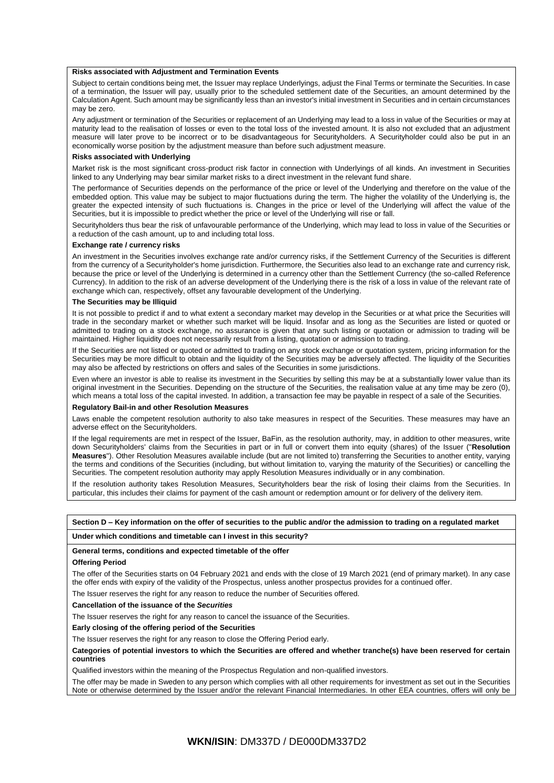#### **Risks associated with Adjustment and Termination Events**

Subject to certain conditions being met, the Issuer may replace Underlyings, adjust the Final Terms or terminate the Securities. In case of a termination, the Issuer will pay, usually prior to the scheduled settlement date of the Securities, an amount determined by the Calculation Agent. Such amount may be significantly less than an investor's initial investment in Securities and in certain circumstances may be zero.

Any adjustment or termination of the Securities or replacement of an Underlying may lead to a loss in value of the Securities or may at maturity lead to the realisation of losses or even to the total loss of the invested amount. It is also not excluded that an adjustment measure will later prove to be incorrect or to be disadvantageous for Securityholders. A Securityholder could also be put in an economically worse position by the adjustment measure than before such adjustment measure.

#### **Risks associated with Underlying**

Market risk is the most significant cross-product risk factor in connection with Underlyings of all kinds. An investment in Securities linked to any Underlying may bear similar market risks to a direct investment in the relevant fund share.

The performance of Securities depends on the performance of the price or level of the Underlying and therefore on the value of the embedded option. This value may be subject to major fluctuations during the term. The higher the volatility of the Underlying is, the greater the expected intensity of such fluctuations is. Changes in the price or level of the Underlying will affect the value of the Securities, but it is impossible to predict whether the price or level of the Underlying will rise or fall.

Securityholders thus bear the risk of unfavourable performance of the Underlying, which may lead to loss in value of the Securities or a reduction of the cash amount, up to and including total loss.

#### **Exchange rate / currency risks**

An investment in the Securities involves exchange rate and/or currency risks, if the Settlement Currency of the Securities is different from the currency of a Securityholder's home jurisdiction. Furthermore, the Securities also lead to an exchange rate and currency risk, because the price or level of the Underlying is determined in a currency other than the Settlement Currency (the so-called Reference Currency). In addition to the risk of an adverse development of the Underlying there is the risk of a loss in value of the relevant rate of exchange which can, respectively, offset any favourable development of the Underlying.

#### **The Securities may be Illiquid**

It is not possible to predict if and to what extent a secondary market may develop in the Securities or at what price the Securities will trade in the secondary market or whether such market will be liquid. Insofar and as long as the Securities are listed or quoted or admitted to trading on a stock exchange, no assurance is given that any such listing or quotation or admission to trading will be maintained. Higher liquidity does not necessarily result from a listing, quotation or admission to trading.

If the Securities are not listed or quoted or admitted to trading on any stock exchange or quotation system, pricing information for the Securities may be more difficult to obtain and the liquidity of the Securities may be adversely affected. The liquidity of the Securities may also be affected by restrictions on offers and sales of the Securities in some jurisdictions.

Even where an investor is able to realise its investment in the Securities by selling this may be at a substantially lower value than its original investment in the Securities. Depending on the structure of the Securities, the realisation value at any time may be zero (0), which means a total loss of the capital invested. In addition, a transaction fee may be payable in respect of a sale of the Securities.

#### **Regulatory Bail-in and other Resolution Measures**

Laws enable the competent resolution authority to also take measures in respect of the Securities. These measures may have an adverse effect on the Securityholders.

If the legal requirements are met in respect of the Issuer, BaFin, as the resolution authority, may, in addition to other measures, write down Securityholders' claims from the Securities in part or in full or convert them into equity (shares) of the Issuer ("**Resolution Measures**"). Other Resolution Measures available include (but are not limited to) transferring the Securities to another entity, varying the terms and conditions of the Securities (including, but without limitation to, varying the maturity of the Securities) or cancelling the Securities. The competent resolution authority may apply Resolution Measures individually or in any combination.

If the resolution authority takes Resolution Measures, Securityholders bear the risk of losing their claims from the Securities. In particular, this includes their claims for payment of the cash amount or redemption amount or for delivery of the delivery item.

**Section D – Key information on the offer of securities to the public and/or the admission to trading on a regulated market**

# **Under which conditions and timetable can I invest in this security?**

#### **General terms, conditions and expected timetable of the offer**

#### **Offering Period**

The offer of the Securities starts on 04 February 2021 and ends with the close of 19 March 2021 (end of primary market). In any case the offer ends with expiry of the validity of the Prospectus, unless another prospectus provides for a continued offer.

The Issuer reserves the right for any reason to reduce the number of Securities offered.

#### **Cancellation of the issuance of the** *Securities*

The Issuer reserves the right for any reason to cancel the issuance of the Securities.

#### **Early closing of the offering period of the Securities**

The Issuer reserves the right for any reason to close the Offering Period early.

**Categories of potential investors to which the Securities are offered and whether tranche(s) have been reserved for certain countries**

Qualified investors within the meaning of the Prospectus Regulation and non-qualified investors.

The offer may be made in Sweden to any person which complies with all other requirements for investment as set out in the Securities Note or otherwise determined by the Issuer and/or the relevant Financial Intermediaries. In other EEA countries, offers will only be